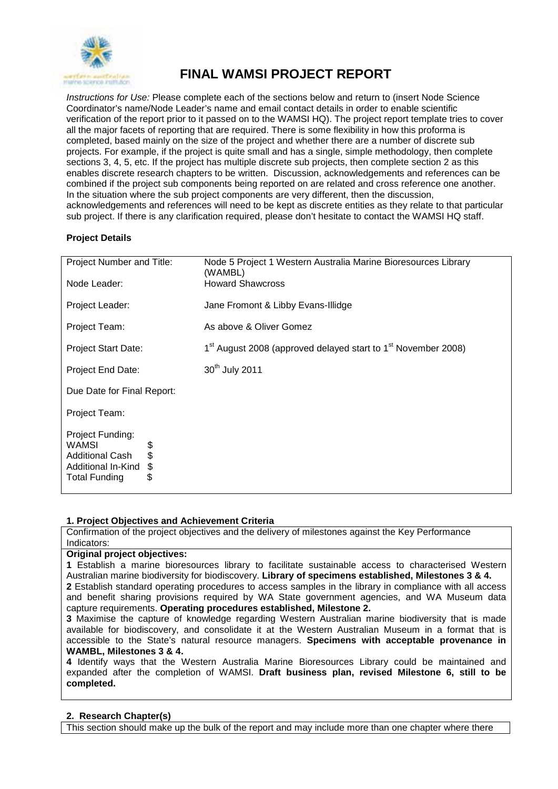

# **FINAL WAMSI PROJECT REPORT**

*Instructions for Use:* Please complete each of the sections below and return to (insert Node Science Coordinator's name/Node Leader's name and email contact details in order to enable scientific verification of the report prior to it passed on to the WAMSI HQ). The project report template tries to cover all the major facets of reporting that are required. There is some flexibility in how this proforma is completed, based mainly on the size of the project and whether there are a number of discrete sub projects. For example, if the project is quite small and has a single, simple methodology, then complete sections 3, 4, 5, etc. If the project has multiple discrete sub projects, then complete section 2 as this enables discrete research chapters to be written. Discussion, acknowledgements and references can be combined if the project sub components being reported on are related and cross reference one another. In the situation where the sub project components are very different, then the discussion, acknowledgements and references will need to be kept as discrete entities as they relate to that particular sub project. If there is any clarification required, please don't hesitate to contact the WAMSI HQ staff.

# **Project Details**

| Project Number and Title:                                                                                                 | Node 5 Project 1 Western Australia Marine Bioresources Library<br>(WAMBL)             |
|---------------------------------------------------------------------------------------------------------------------------|---------------------------------------------------------------------------------------|
| Node Leader:                                                                                                              | <b>Howard Shawcross</b>                                                               |
| Project Leader:                                                                                                           | Jane Fromont & Libby Evans-Illidge                                                    |
| Project Team:                                                                                                             | As above & Oliver Gomez                                                               |
| <b>Project Start Date:</b>                                                                                                | 1 <sup>st</sup> August 2008 (approved delayed start to 1 <sup>st</sup> November 2008) |
| Project End Date:                                                                                                         | 30 <sup>th</sup> July 2011                                                            |
| Due Date for Final Report:                                                                                                |                                                                                       |
| Project Team:                                                                                                             |                                                                                       |
| Project Funding:<br>WAMSI<br>\$<br>\$<br><b>Additional Cash</b><br>\$<br>Additional In-Kind<br>\$<br><b>Total Funding</b> |                                                                                       |

# **1. Project Objectives and Achievement Criteria**

Confirmation of the project objectives and the delivery of milestones against the Key Performance Indicators:

#### **Original project objectives:**

**1** Establish a marine bioresources library to facilitate sustainable access to characterised Western Australian marine biodiversity for biodiscovery. **Library of specimens established, Milestones 3 & 4.**

**2** Establish standard operating procedures to access samples in the library in compliance with all access and benefit sharing provisions required by WA State government agencies, and WA Museum data capture requirements. **Operating procedures established, Milestone 2.**

**3** Maximise the capture of knowledge regarding Western Australian marine biodiversity that is made available for biodiscovery, and consolidate it at the Western Australian Museum in a format that is accessible to the State's natural resource managers. **Specimens with acceptable provenance in WAMBL, Milestones 3 & 4.**

**4** Identify ways that the Western Australia Marine Bioresources Library could be maintained and expanded after the completion of WAMSI. **Draft business plan, revised Milestone 6, still to be completed.**

# **2. Research Chapter(s)**

This section should make up the bulk of the report and may include more than one chapter where there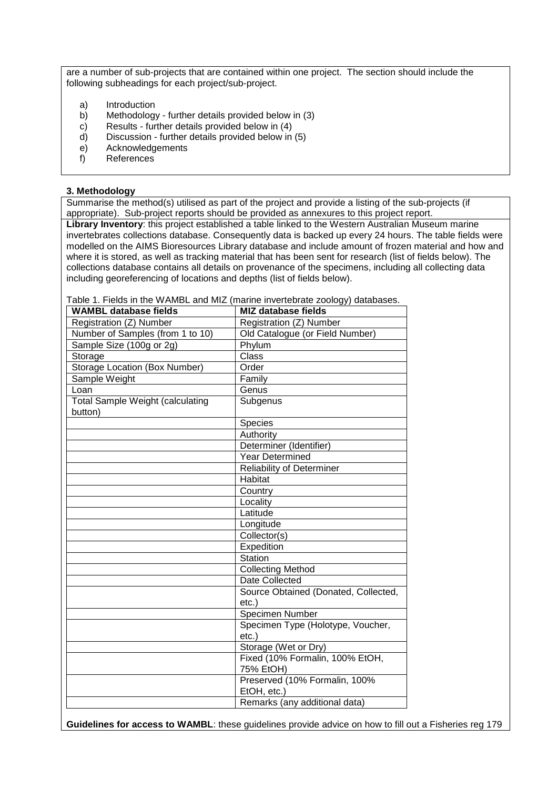are a number of sub-projects that are contained within one project. The section should include the following subheadings for each project/sub-project.

- a) Introduction
- b) Methodology further details provided below in (3) c) Results further details provided below in (4)
- c) Results further details provided below in (4)<br>d) Discussion further details provided below in
- d) Discussion further details provided below in (5)
- e) Acknowledgements<br>f) References
- References

#### **3. Methodology**

Summarise the method(s) utilised as part of the project and provide a listing of the sub-projects (if appropriate). Sub-project reports should be provided as annexures to this project report.

**Library Inventory**: this project established a table linked to the Western Australian Museum marine invertebrates collections database. Consequently data is backed up every 24 hours. The table fields were modelled on the AIMS Bioresources Library database and include amount of frozen material and how and where it is stored, as well as tracking material that has been sent for research (list of fields below). The collections database contains all details on provenance of the specimens, including all collecting data including georeferencing of locations and depths (list of fields below).

Table 1. Fields in the WAMBL and MIZ (marine invertebrate zoology) databases.

| <b>WAMBL database fields</b>            | <b>MIZ database fields</b>           |
|-----------------------------------------|--------------------------------------|
| Registration (Z) Number                 | Registration (Z) Number              |
| Number of Samples (from 1 to 10)        | Old Catalogue (or Field Number)      |
| Sample Size (100g or 2g)                | Phylum                               |
| Storage                                 | Class                                |
| <b>Storage Location (Box Number)</b>    | Order                                |
| Sample Weight                           | Family                               |
| Loan                                    | Genus                                |
| <b>Total Sample Weight (calculating</b> | Subgenus                             |
| button)                                 |                                      |
|                                         | Species                              |
|                                         | Authority                            |
|                                         | Determiner (Identifier)              |
|                                         | <b>Year Determined</b>               |
|                                         | Reliability of Determiner            |
|                                         | Habitat                              |
|                                         | Country                              |
|                                         | Locality                             |
|                                         | Latitude                             |
|                                         | Longitude                            |
|                                         | Collector(s)                         |
|                                         | Expedition                           |
|                                         | Station                              |
|                                         | <b>Collecting Method</b>             |
|                                         | Date Collected                       |
|                                         | Source Obtained (Donated, Collected, |
|                                         | $etc.$ )                             |
|                                         | Specimen Number                      |
|                                         | Specimen Type (Holotype, Voucher,    |
|                                         | $etc.$ )                             |
|                                         | Storage (Wet or Dry)                 |
|                                         | Fixed (10% Formalin, 100% EtOH,      |
|                                         | 75% EtOH)                            |
|                                         | Preserved (10% Formalin, 100%        |
|                                         | EtOH, etc.)                          |
|                                         | Remarks (any additional data)        |

**Guidelines for access to WAMBL**: these guidelines provide advice on how to fill out a Fisheries reg 179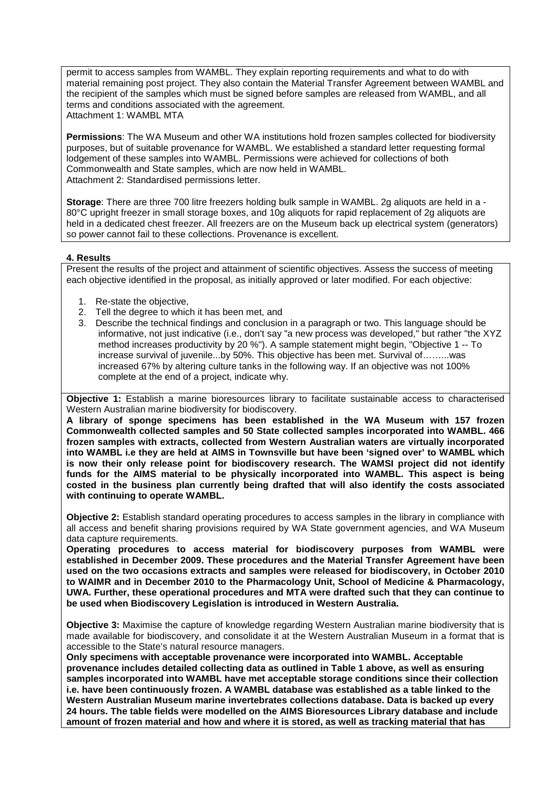permit to access samples from WAMBL. They explain reporting requirements and what to do with material remaining post project. They also contain the Material Transfer Agreement between WAMBL and the recipient of the samples which must be signed before samples are released from WAMBL, and all terms and conditions associated with the agreement. Attachment 1: WAMBL MTA

**Permissions**: The WA Museum and other WA institutions hold frozen samples collected for biodiversity purposes, but of suitable provenance for WAMBL. We established a standard letter requesting formal lodgement of these samples into WAMBL. Permissions were achieved for collections of both Commonwealth and State samples, which are now held in WAMBL. Attachment 2: Standardised permissions letter.

**Storage**: There are three 700 litre freezers holding bulk sample in WAMBL. 2g aliquots are held in a - 80°C upright freezer in small storage boxes, and 10g aliquots for rapid replacement of 2g aliquots are held in a dedicated chest freezer. All freezers are on the Museum back up electrical system (generators) so power cannot fail to these collections. Provenance is excellent.

# **4. Results**

Present the results of the project and attainment of scientific objectives. Assess the success of meeting each objective identified in the proposal, as initially approved or later modified. For each objective:

- 1. Re-state the objective,
- 2. Tell the degree to which it has been met, and
- 3. Describe the technical findings and conclusion in a paragraph or two. This language should be informative, not just indicative (i.e., don't say "a new process was developed," but rather "the XYZ method increases productivity by 20 %"). A sample statement might begin, "Objective 1 -- To increase survival of juvenile...by 50%. This objective has been met. Survival of……...was increased 67% by altering culture tanks in the following way. If an objective was not 100% complete at the end of a project, indicate why.

**Objective 1:** Establish a marine bioresources library to facilitate sustainable access to characterised Western Australian marine biodiversity for biodiscovery.

**A library of sponge specimens has been established in the WA Museum with 157 frozen Commonwealth collected samples and 50 State collected samples incorporated into WAMBL. 466 frozen samples with extracts, collected from Western Australian waters are virtually incorporated into WAMBL i.e they are held at AIMS in Townsville but have been 'signed over' to WAMBL which is now their only release point for biodiscovery research. The WAMSI project did not identify funds for the AIMS material to be physically incorporated into WAMBL. This aspect is being costed in the business plan currently being drafted that will also identify the costs associated with continuing to operate WAMBL.**

**Objective 2:** Establish standard operating procedures to access samples in the library in compliance with all access and benefit sharing provisions required by WA State government agencies, and WA Museum data capture requirements.

**Operating procedures to access material for biodiscovery purposes from WAMBL were established in December 2009. These procedures and the Material Transfer Agreement have been used on the two occasions extracts and samples were released for biodiscovery, in October 2010 to WAIMR and in December 2010 to the Pharmacology Unit, School of Medicine & Pharmacology, UWA. Further, these operational procedures and MTA were drafted such that they can continue to be used when Biodiscovery Legislation is introduced in Western Australia.**

**Objective 3:** Maximise the capture of knowledge regarding Western Australian marine biodiversity that is made available for biodiscovery, and consolidate it at the Western Australian Museum in a format that is accessible to the State's natural resource managers.

**Only specimens with acceptable provenance were incorporated into WAMBL. Acceptable provenance includes detailed collecting data as outlined in Table 1 above, as well as ensuring samples incorporated into WAMBL have met acceptable storage conditions since their collection i.e. have been continuously frozen. A WAMBL database was established as a table linked to the Western Australian Museum marine invertebrates collections database. Data is backed up every 24 hours. The table fields were modelled on the AIMS Bioresources Library database and include amount of frozen material and how and where it is stored, as well as tracking material that has**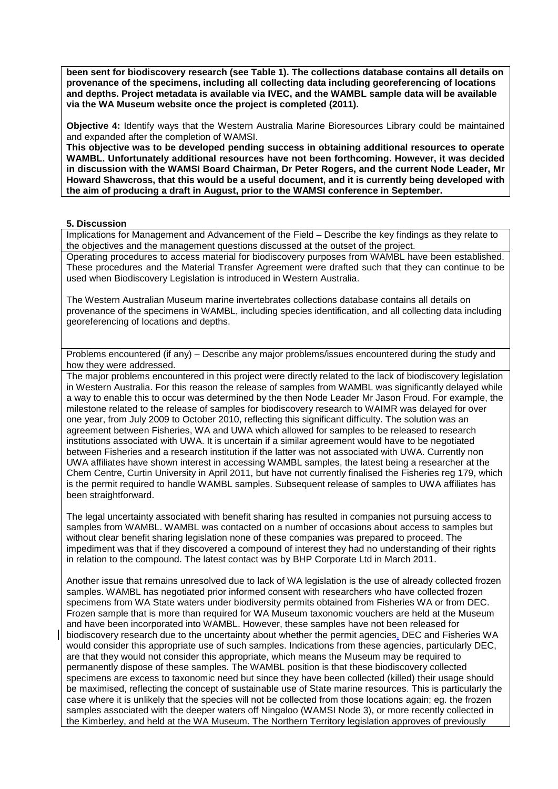**been sent for biodiscovery research (see Table 1). The collections database contains all details on provenance of the specimens, including all collecting data including georeferencing of locations and depths. Project metadata is available via IVEC, and the WAMBL sample data will be available via the WA Museum website once the project is completed (2011).**

**Objective 4:** Identify ways that the Western Australia Marine Bioresources Library could be maintained and expanded after the completion of WAMSI.

**This objective was to be developed pending success in obtaining additional resources to operate WAMBL. Unfortunately additional resources have not been forthcoming. However, it was decided in discussion with the WAMSI Board Chairman, Dr Peter Rogers, and the current Node Leader, Mr Howard Shawcross, that this would be a useful document, and it is currently being developed with the aim of producing a draft in August, prior to the WAMSI conference in September.** 

#### **5. Discussion**

Implications for Management and Advancement of the Field – Describe the key findings as they relate to the objectives and the management questions discussed at the outset of the project.

Operating procedures to access material for biodiscovery purposes from WAMBL have been established. These procedures and the Material Transfer Agreement were drafted such that they can continue to be used when Biodiscovery Legislation is introduced in Western Australia.

The Western Australian Museum marine invertebrates collections database contains all details on provenance of the specimens in WAMBL, including species identification, and all collecting data including georeferencing of locations and depths.

Problems encountered (if any) – Describe any major problems/issues encountered during the study and how they were addressed.

The major problems encountered in this project were directly related to the lack of biodiscovery legislation in Western Australia. For this reason the release of samples from WAMBL was significantly delayed while a way to enable this to occur was determined by the then Node Leader Mr Jason Froud. For example, the milestone related to the release of samples for biodiscovery research to WAIMR was delayed for over one year, from July 2009 to October 2010, reflecting this significant difficulty. The solution was an agreement between Fisheries, WA and UWA which allowed for samples to be released to research institutions associated with UWA. It is uncertain if a similar agreement would have to be negotiated between Fisheries and a research institution if the latter was not associated with UWA. Currently non UWA affiliates have shown interest in accessing WAMBL samples, the latest being a researcher at the Chem Centre, Curtin University in April 2011, but have not currently finalised the Fisheries reg 179, which is the permit required to handle WAMBL samples. Subsequent release of samples to UWA affiliates has been straightforward.

The legal uncertainty associated with benefit sharing has resulted in companies not pursuing access to samples from WAMBL. WAMBL was contacted on a number of occasions about access to samples but without clear benefit sharing legislation none of these companies was prepared to proceed. The impediment was that if they discovered a compound of interest they had no understanding of their rights in relation to the compound. The latest contact was by BHP Corporate Ltd in March 2011.

Another issue that remains unresolved due to lack of WA legislation is the use of already collected frozen samples. WAMBL has negotiated prior informed consent with researchers who have collected frozen specimens from WA State waters under biodiversity permits obtained from Fisheries WA or from DEC. Frozen sample that is more than required for WA Museum taxonomic vouchers are held at the Museum and have been incorporated into WAMBL. However, these samples have not been released for biodiscovery research due to the uncertainty about whether the permit agencies, DEC and Fisheries WA would consider this appropriate use of such samples. Indications from these agencies, particularly DEC, are that they would not consider this appropriate, which means the Museum may be required to permanently dispose of these samples. The WAMBL position is that these biodiscovery collected specimens are excess to taxonomic need but since they have been collected (killed) their usage should be maximised, reflecting the concept of sustainable use of State marine resources. This is particularly the case where it is unlikely that the species will not be collected from those locations again; eg. the frozen samples associated with the deeper waters off Ningaloo (WAMSI Node 3), or more recently collected in the Kimberley, and held at the WA Museum. The Northern Territory legislation approves of previously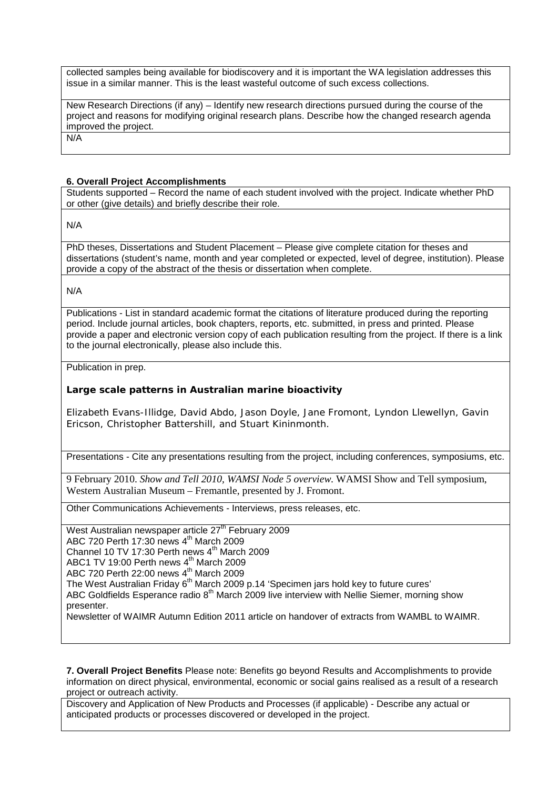collected samples being available for biodiscovery and it is important the WA legislation addresses this issue in a similar manner. This is the least wasteful outcome of such excess collections.

New Research Directions (if any) – Identify new research directions pursued during the course of the project and reasons for modifying original research plans. Describe how the changed research agenda improved the project.

N/A

#### **6. Overall Project Accomplishments**

Students supported – Record the name of each student involved with the project. Indicate whether PhD or other (give details) and briefly describe their role.

N/A

PhD theses, Dissertations and Student Placement – Please give complete citation for theses and dissertations (student's name, month and year completed or expected, level of degree, institution). Please provide a copy of the abstract of the thesis or dissertation when complete.

N/A

Publications - List in standard academic format the citations of literature produced during the reporting period. Include journal articles, book chapters, reports, etc. submitted, in press and printed. Please provide a paper and electronic version copy of each publication resulting from the project. If there is a link to the journal electronically, please also include this.

Publication in prep.

### **Large scale patterns in Australian marine bioactivity**

Elizabeth Evans-Illidge, David Abdo, Jason Doyle, Jane Fromont, Lyndon Llewellyn, Gavin Ericson, Christopher Battershill, and Stuart Kininmonth.

Presentations - Cite any presentations resulting from the project, including conferences, symposiums, etc.

9 February 2010. *Show and Tell 2010, WAMSI Node 5 overview.* WAMSI Show and Tell symposium, Western Australian Museum – Fremantle, presented by J. Fromont.

Other Communications Achievements - Interviews, press releases, etc.

West Australian newspaper article 27<sup>th</sup> February 2009 ABC 720 Perth 17:30 news 4<sup>th</sup> March 2009 Channel 10 TV 17:30 Perth news  $4<sup>th</sup>$  March 2009 ABC1 TV 19:00 Perth news  $4^{\text{th}}$  March 2009 ABC 720 Perth 22:00 news  $4^{\text{th}}$  March 2009 The West Australian Friday 6<sup>th</sup> March 2009 p.14 'Specimen jars hold key to future cures' ABC Goldfields Esperance radio  $8<sup>th</sup>$  March 2009 live interview with Nellie Siemer, morning show presenter. Newsletter of WAIMR Autumn Edition 2011 article on handover of extracts from WAMBL to WAIMR.

**7. Overall Project Benefits** Please note: Benefits go beyond Results and Accomplishments to provide information on direct physical, environmental, economic or social gains realised as a result of a research project or outreach activity.

Discovery and Application of New Products and Processes (if applicable) - Describe any actual or anticipated products or processes discovered or developed in the project.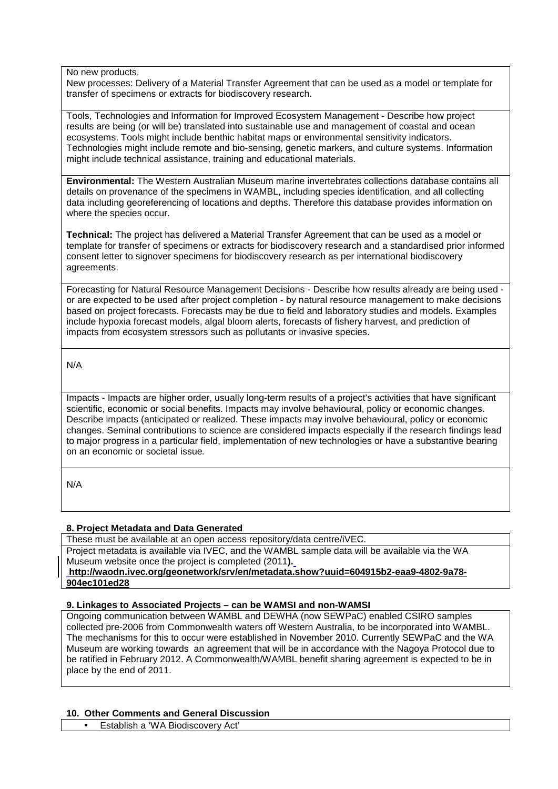#### No new products.

New processes: Delivery of a Material Transfer Agreement that can be used as a model or template for transfer of specimens or extracts for biodiscovery research.

Tools, Technologies and Information for Improved Ecosystem Management - Describe how project results are being (or will be) translated into sustainable use and management of coastal and ocean ecosystems. Tools might include benthic habitat maps or environmental sensitivity indicators. Technologies might include remote and bio-sensing, genetic markers, and culture systems. Information might include technical assistance, training and educational materials.

**Environmental:** The Western Australian Museum marine invertebrates collections database contains all details on provenance of the specimens in WAMBL, including species identification, and all collecting data including georeferencing of locations and depths. Therefore this database provides information on where the species occur.

**Technical:** The project has delivered a Material Transfer Agreement that can be used as a model or template for transfer of specimens or extracts for biodiscovery research and a standardised prior informed consent letter to signover specimens for biodiscovery research as per international biodiscovery agreements.

Forecasting for Natural Resource Management Decisions - Describe how results already are being used or are expected to be used after project completion - by natural resource management to make decisions based on project forecasts. Forecasts may be due to field and laboratory studies and models. Examples include hypoxia forecast models, algal bloom alerts, forecasts of fishery harvest, and prediction of impacts from ecosystem stressors such as pollutants or invasive species.

N/A

Impacts - Impacts are higher order, usually long-term results of a project's activities that have significant scientific, economic or social benefits. Impacts may involve behavioural, policy or economic changes. Describe impacts (anticipated or realized. These impacts may involve behavioural, policy or economic changes. Seminal contributions to science are considered impacts especially if the research findings lead to major progress in a particular field, implementation of new technologies or have a substantive bearing on an economic or societal issue*.*

N/A

# **8. Project Metadata and Data Generated**

These must be available at an open access repository/data centre/iVEC. Project metadata is available via IVEC, and the WAMBL sample data will be available via the WA Museum website once the project is completed (2011**). [http://waodn.ivec.org/geonetwork/srv/en/metadata.show?uuid=604915b2-eaa9-4802-9a78-](http://waodn.ivec.org/geonetwork/srv/en/metadata.show?uuid=604915b2-eaa9-4802-9a78-904ec101ed28) [904ec101ed28](http://waodn.ivec.org/geonetwork/srv/en/metadata.show?uuid=604915b2-eaa9-4802-9a78-904ec101ed28)**

# **9. Linkages to Associated Projects – can be WAMSI and non-WAMSI**

Ongoing communication between WAMBL and DEWHA (now SEWPaC) enabled CSIRO samples collected pre-2006 from Commonwealth waters off Western Australia, to be incorporated into WAMBL. The mechanisms for this to occur were established in November 2010. Currently SEWPaC and the WA Museum are working towards an agreement that will be in accordance with the Nagoya Protocol due to be ratified in February 2012. A Commonwealth/WAMBL benefit sharing agreement is expected to be in place by the end of 2011.

# **10. Other Comments and General Discussion**

• Establish a 'WA Biodiscovery Act'